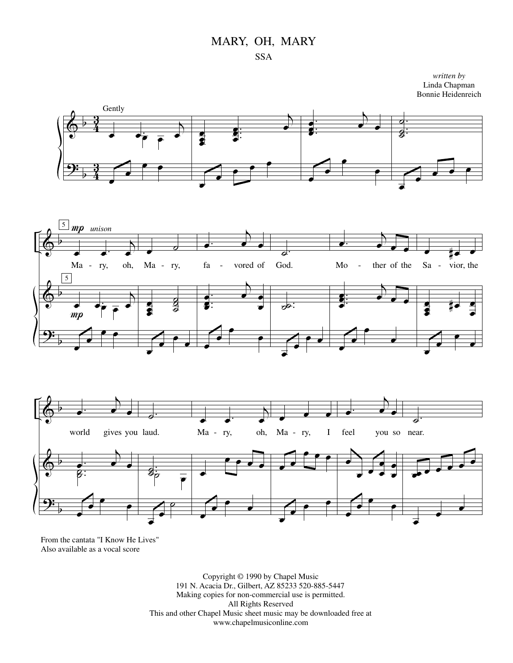

*written by* Linda Chapman Bonnie Heidenreich







From the cantata "I Know He Lives" Also available as a vocal score

> Copyright © 1990 by Chapel Music 191 N. Acacia Dr., Gilbert, AZ 85233 520-885-5447 Making copies for non-commercial use is permitted. All Rights Reserved This and other Chapel Music sheet music may be downloaded free at www.chapelmusiconline.com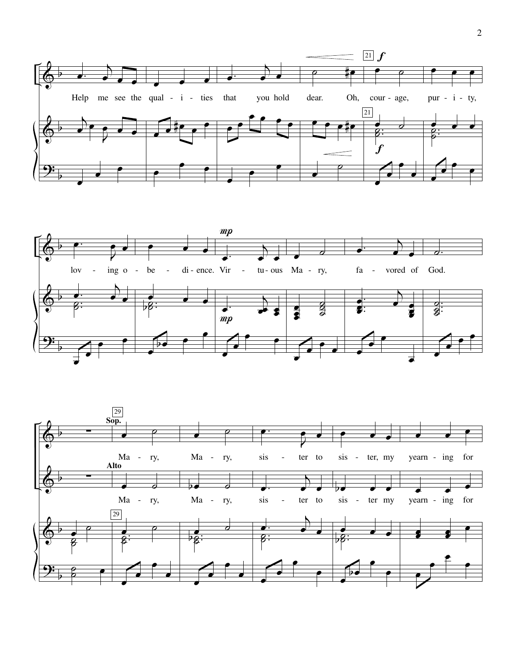



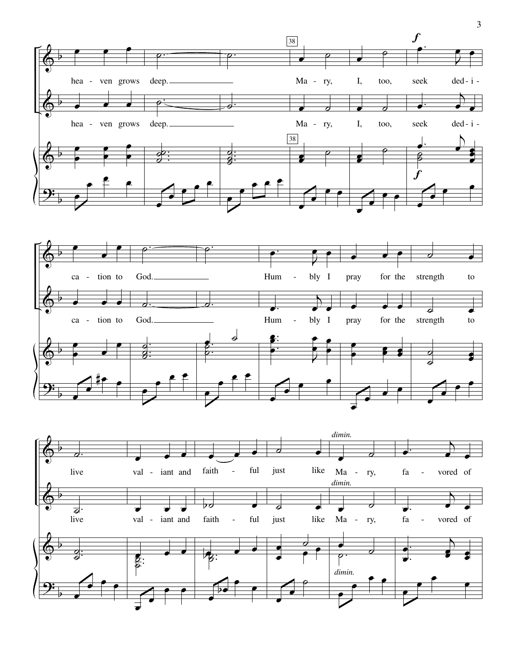



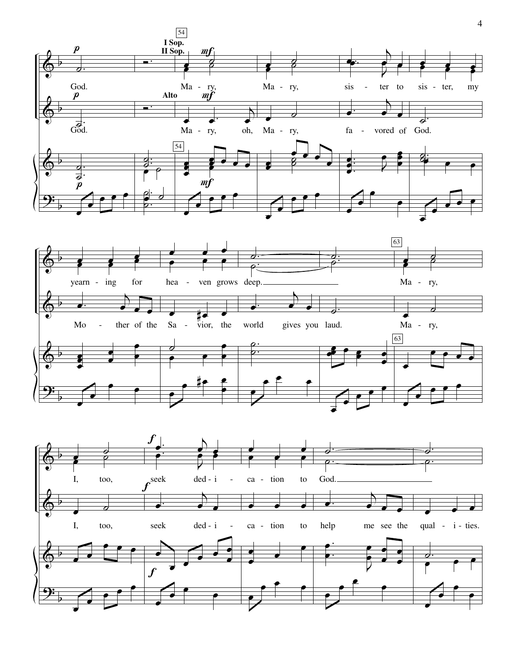